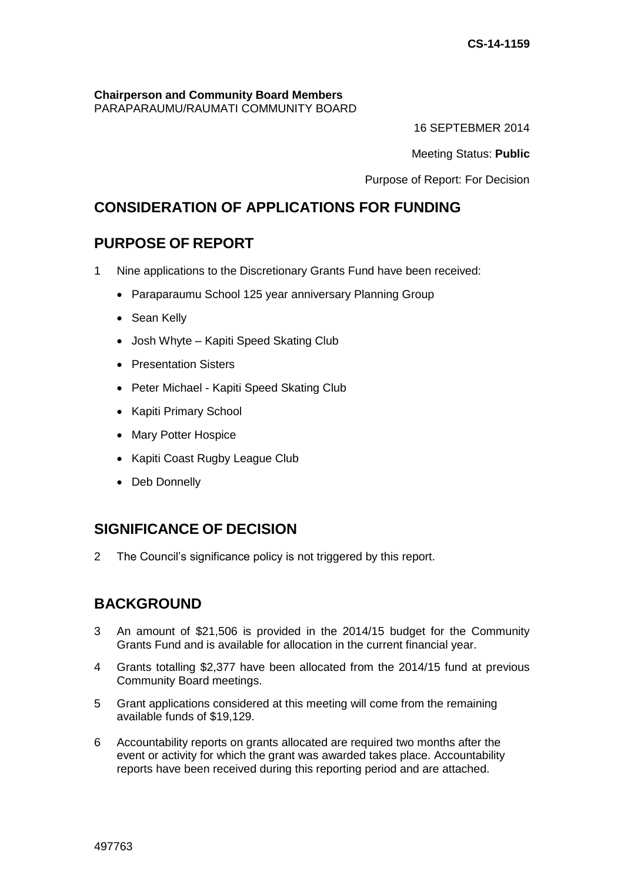#### **Chairperson and Community Board Members** PARAPARAUMU/RAUMATI COMMUNITY BOARD

16 SEPTEBMER 2014

Meeting Status: **Public**

Purpose of Report: For Decision

# **CONSIDERATION OF APPLICATIONS FOR FUNDING**

# **PURPOSE OF REPORT**

- 1 Nine applications to the Discretionary Grants Fund have been received:
	- Paraparaumu School 125 year anniversary Planning Group
	- Sean Kelly
	- Josh Whyte Kapiti Speed Skating Club
	- Presentation Sisters
	- Peter Michael Kapiti Speed Skating Club
	- Kapiti Primary School
	- Mary Potter Hospice
	- Kapiti Coast Rugby League Club
	- Deb Donnelly

# **SIGNIFICANCE OF DECISION**

2 The Council's significance policy is not triggered by this report.

# **BACKGROUND**

- 3 An amount of \$21,506 is provided in the 2014/15 budget for the Community Grants Fund and is available for allocation in the current financial year.
- 4 Grants totalling \$2,377 have been allocated from the 2014/15 fund at previous Community Board meetings.
- 5 Grant applications considered at this meeting will come from the remaining available funds of \$19,129.
- 6 Accountability reports on grants allocated are required two months after the event or activity for which the grant was awarded takes place. Accountability reports have been received during this reporting period and are attached.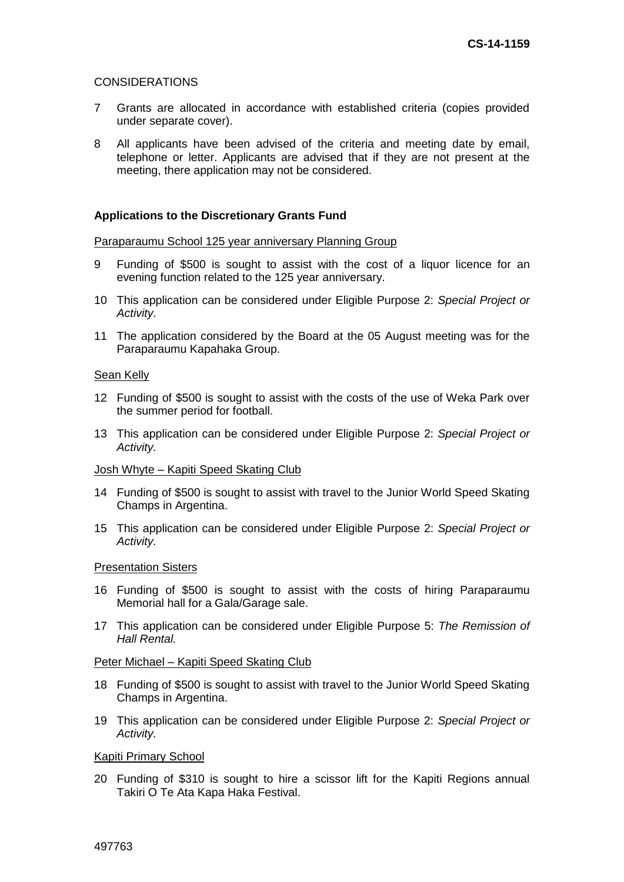### CONSIDERATIONS

- 7 Grants are allocated in accordance with established criteria (copies provided under separate cover).
- 8 All applicants have been advised of the criteria and meeting date by email, telephone or letter. Applicants are advised that if they are not present at the meeting, there application may not be considered.

## **Applications to the Discretionary Grants Fund**

### Paraparaumu School 125 year anniversary Planning Group

- 9 Funding of \$500 is sought to assist with the cost of a liquor licence for an evening function related to the 125 year anniversary.
- 10 This application can be considered under Eligible Purpose 2: *Special Project or Activity.*
- 11 The application considered by the Board at the 05 August meeting was for the Paraparaumu Kapahaka Group.

#### Sean Kelly

- 12 Funding of \$500 is sought to assist with the costs of the use of Weka Park over the summer period for football.
- 13 This application can be considered under Eligible Purpose 2: *Special Project or Activity.*

#### Josh Whyte – Kapiti Speed Skating Club

- 14 Funding of \$500 is sought to assist with travel to the Junior World Speed Skating Champs in Argentina.
- 15 This application can be considered under Eligible Purpose 2: *Special Project or Activity.*

### Presentation Sisters

- 16 Funding of \$500 is sought to assist with the costs of hiring Paraparaumu Memorial hall for a Gala/Garage sale.
- 17 This application can be considered under Eligible Purpose 5: *The Remission of Hall Rental.*

### Peter Michael – Kapiti Speed Skating Club

- 18 Funding of \$500 is sought to assist with travel to the Junior World Speed Skating Champs in Argentina.
- 19 This application can be considered under Eligible Purpose 2: *Special Project or Activity.*

### Kapiti Primary School

20 Funding of \$310 is sought to hire a scissor lift for the Kapiti Regions annual Takiri O Te Ata Kapa Haka Festival.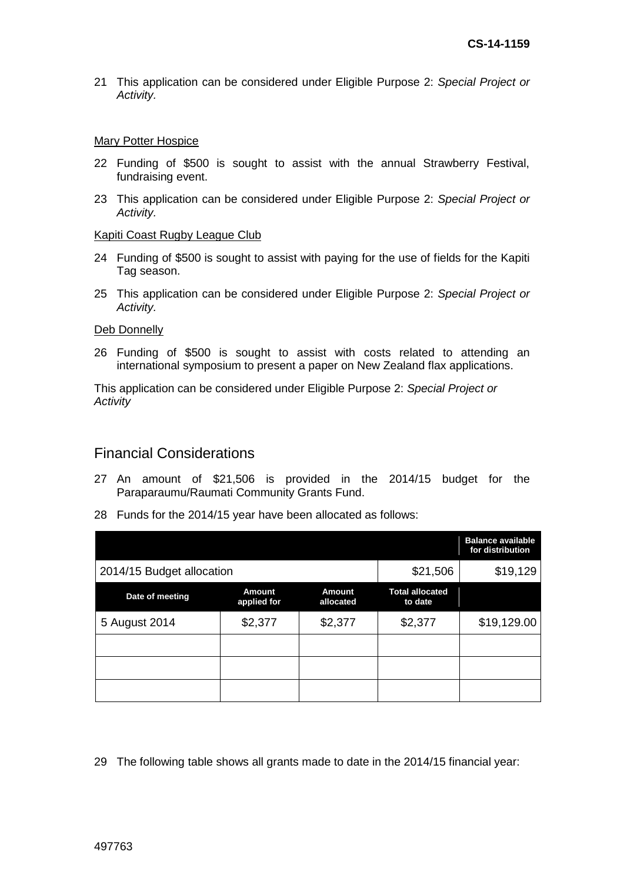21 This application can be considered under Eligible Purpose 2: *Special Project or Activity.* 

#### **Mary Potter Hospice**

- 22 Funding of \$500 is sought to assist with the annual Strawberry Festival, fundraising event.
- 23 This application can be considered under Eligible Purpose 2: *Special Project or Activity.*

#### Kapiti Coast Rugby League Club

- 24 Funding of \$500 is sought to assist with paying for the use of fields for the Kapiti Tag season.
- 25 This application can be considered under Eligible Purpose 2: *Special Project or Activity.*

#### Deb Donnelly

26 Funding of \$500 is sought to assist with costs related to attending an international symposium to present a paper on New Zealand flax applications.

This application can be considered under Eligible Purpose 2: *Special Project or Activity*

## Financial Considerations

- 27 An amount of \$21,506 is provided in the 2014/15 budget for the Paraparaumu/Raumati Community Grants Fund.
- 28 Funds for the 2014/15 year have been allocated as follows:

|                           |                              |                     |                                   | <b>Balance available</b><br>for distribution |
|---------------------------|------------------------------|---------------------|-----------------------------------|----------------------------------------------|
| 2014/15 Budget allocation | \$21,506                     | \$19,129            |                                   |                                              |
| Date of meeting           | <b>Amount</b><br>applied for | Amount<br>allocated | <b>Total allocated</b><br>to date |                                              |
| 5 August 2014             | \$2,377                      | \$2,377             | \$2,377                           | \$19,129.00                                  |
|                           |                              |                     |                                   |                                              |
|                           |                              |                     |                                   |                                              |
|                           |                              |                     |                                   |                                              |

29 The following table shows all grants made to date in the 2014/15 financial year: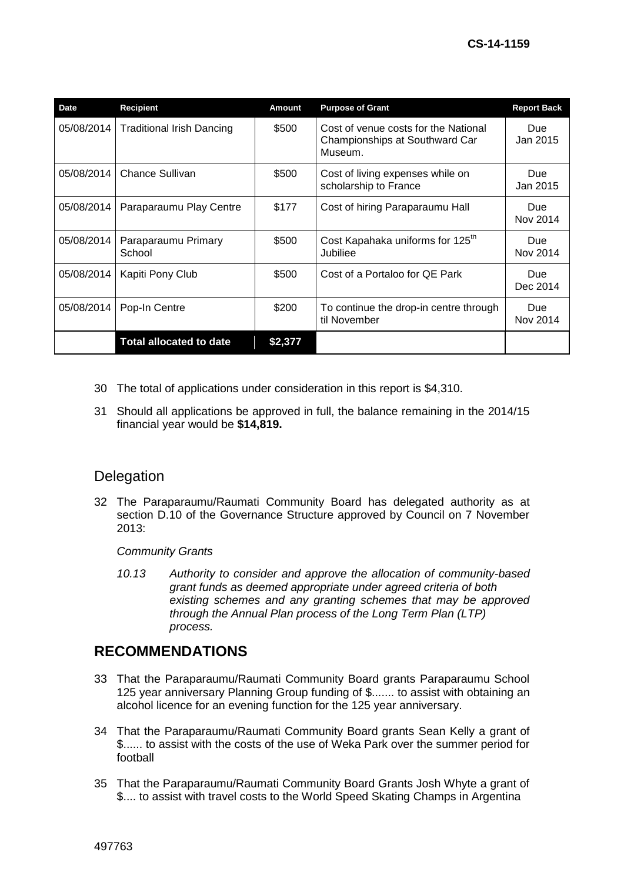| <b>Date</b> | <b>Recipient</b>                 | <b>Amount</b> | <b>Purpose of Grant</b>                                                           | <b>Report Back</b>     |
|-------------|----------------------------------|---------------|-----------------------------------------------------------------------------------|------------------------|
| 05/08/2014  | <b>Traditional Irish Dancing</b> | \$500         | Cost of venue costs for the National<br>Championships at Southward Car<br>Museum. | Due<br>Jan 2015        |
| 05/08/2014  | Chance Sullivan                  | \$500         | Cost of living expenses while on<br>scholarship to France                         | Due<br>Jan 2015        |
| 05/08/2014  | Paraparaumu Play Centre          | \$177         | Cost of hiring Paraparaumu Hall                                                   | Due.<br>Nov 2014       |
| 05/08/2014  | Paraparaumu Primary<br>School    | \$500         | Cost Kapahaka uniforms for 125 <sup>th</sup><br>Jubiliee                          | <b>Due</b><br>Nov 2014 |
| 05/08/2014  | Kapiti Pony Club                 | \$500         | Cost of a Portaloo for QE Park                                                    | <b>Due</b><br>Dec 2014 |
| 05/08/2014  | Pop-In Centre                    | \$200         | To continue the drop-in centre through<br>til November                            | Due<br>Nov 2014        |
|             | <b>Total allocated to date</b>   | \$2,377       |                                                                                   |                        |

- 30 The total of applications under consideration in this report is \$4,310.
- 31 Should all applications be approved in full, the balance remaining in the 2014/15 financial year would be **\$14,819.**

# **Delegation**

32 The Paraparaumu/Raumati Community Board has delegated authority as at section D.10 of the Governance Structure approved by Council on 7 November 2013:

*Community Grants*

*10.13 Authority to consider and approve the allocation of community-based grant funds as deemed appropriate under agreed criteria of both existing schemes and any granting schemes that may be approved through the Annual Plan process of the Long Term Plan (LTP) process.* 

# **RECOMMENDATIONS**

- 33 That the Paraparaumu/Raumati Community Board grants Paraparaumu School 125 year anniversary Planning Group funding of \$....... to assist with obtaining an alcohol licence for an evening function for the 125 year anniversary.
- 34 That the Paraparaumu/Raumati Community Board grants Sean Kelly a grant of \$...... to assist with the costs of the use of Weka Park over the summer period for football
- 35 That the Paraparaumu/Raumati Community Board Grants Josh Whyte a grant of \$.... to assist with travel costs to the World Speed Skating Champs in Argentina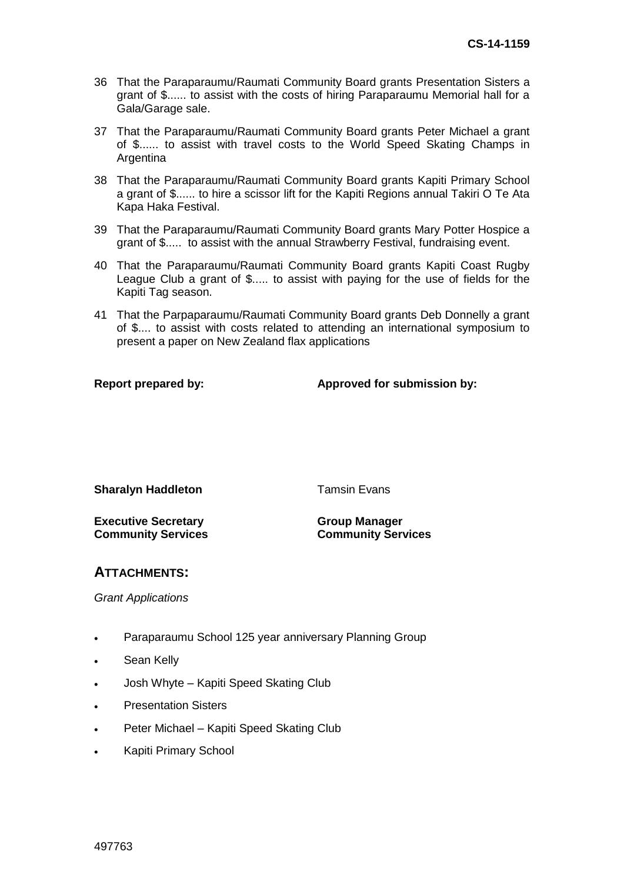- 36 That the Paraparaumu/Raumati Community Board grants Presentation Sisters a grant of \$...... to assist with the costs of hiring Paraparaumu Memorial hall for a Gala/Garage sale.
- 37 That the Paraparaumu/Raumati Community Board grants Peter Michael a grant of \$...... to assist with travel costs to the World Speed Skating Champs in Argentina
- 38 That the Paraparaumu/Raumati Community Board grants Kapiti Primary School a grant of \$...... to hire a scissor lift for the Kapiti Regions annual Takiri O Te Ata Kapa Haka Festival.
- 39 That the Paraparaumu/Raumati Community Board grants Mary Potter Hospice a grant of \$..... to assist with the annual Strawberry Festival, fundraising event.
- 40 That the Paraparaumu/Raumati Community Board grants Kapiti Coast Rugby League Club a grant of \$..... to assist with paying for the use of fields for the Kapiti Tag season.
- 41 That the Parpaparaumu/Raumati Community Board grants Deb Donnelly a grant of \$.... to assist with costs related to attending an international symposium to present a paper on New Zealand flax applications

**Report prepared by: Approved for submission by:**

**Sharalyn Haddleton** Tamsin Evans

**Executive Secretary Community Services** **Group Manager Community Services**

# **ATTACHMENTS:**

*Grant Applications*

- Paraparaumu School 125 year anniversary Planning Group
- Sean Kelly
- Josh Whyte Kapiti Speed Skating Club
- Presentation Sisters
- Peter Michael Kapiti Speed Skating Club
- Kapiti Primary School